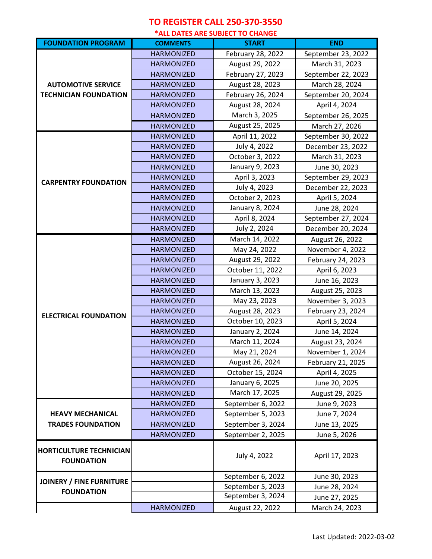## **TO REGISTER CALL 250-370-3550**

**\*ALL DATES ARE SUBJECT TO CHANGE**

| <b>FOUNDATION PROGRAM</b>                                 |                   | LL DATES ARE SODJECT TO CHANGE<br><b>START</b> | <b>END</b>         |
|-----------------------------------------------------------|-------------------|------------------------------------------------|--------------------|
|                                                           | <b>COMMENTS</b>   |                                                |                    |
| <b>AUTOMOTIVE SERVICE</b><br><b>TECHNICIAN FOUNDATION</b> | <b>HARMONIZED</b> | February 28, 2022                              | September 23, 2022 |
|                                                           | <b>HARMONIZED</b> | August 29, 2022                                | March 31, 2023     |
|                                                           | <b>HARMONIZED</b> | February 27, 2023                              | September 22, 2023 |
|                                                           | <b>HARMONIZED</b> | August 28, 2023                                | March 28, 2024     |
|                                                           | <b>HARMONIZED</b> | February 26, 2024                              | September 20, 2024 |
|                                                           | <b>HARMONIZED</b> | August 28, 2024                                | April 4, 2024      |
|                                                           | <b>HARMONIZED</b> | March 3, 2025                                  | September 26, 2025 |
|                                                           | <b>HARMONIZED</b> | August 25, 2025                                | March 27, 2026     |
| <b>CARPENTRY FOUNDATION</b>                               | <b>HARMONIZED</b> | April 11, 2022                                 | September 30, 2022 |
|                                                           | <b>HARMONIZED</b> | July 4, 2022                                   | December 23, 2022  |
|                                                           | <b>HARMONIZED</b> | October 3, 2022                                | March 31, 2023     |
|                                                           | <b>HARMONIZED</b> | January 9, 2023                                | June 30, 2023      |
|                                                           | <b>HARMONIZED</b> | April 3, 2023                                  | September 29, 2023 |
|                                                           | <b>HARMONIZED</b> | July 4, 2023                                   | December 22, 2023  |
|                                                           | <b>HARMONIZED</b> | October 2, 2023                                | April 5, 2024      |
|                                                           | <b>HARMONIZED</b> | January 8, 2024                                | June 28, 2024      |
|                                                           | <b>HARMONIZED</b> | April 8, 2024                                  | September 27, 2024 |
|                                                           | <b>HARMONIZED</b> | July 2, 2024                                   | December 20, 2024  |
| <b>ELECTRICAL FOUNDATION</b>                              | <b>HARMONIZED</b> | March 14, 2022                                 | August 26, 2022    |
|                                                           | <b>HARMONIZED</b> | May 24, 2022                                   | November 4, 2022   |
|                                                           | <b>HARMONIZED</b> | August 29, 2022                                | February 24, 2023  |
|                                                           | <b>HARMONIZED</b> | October 11, 2022                               | April 6, 2023      |
|                                                           | <b>HARMONIZED</b> | January 3, 2023                                | June 16, 2023      |
|                                                           | <b>HARMONIZED</b> | March 13, 2023                                 | August 25, 2023    |
|                                                           | <b>HARMONIZED</b> | May 23, 2023                                   | November 3, 2023   |
|                                                           | <b>HARMONIZED</b> | August 28, 2023                                | February 23, 2024  |
|                                                           | <b>HARMONIZED</b> | October 10, 2023                               | April 5, 2024      |
|                                                           | <b>HARMONIZED</b> | January 2, 2024                                | June 14, 2024      |
|                                                           | <b>HARMONIZED</b> | March 11, 2024                                 | August 23, 2024    |
|                                                           | <b>HARMONIZED</b> | May 21, 2024                                   | November 1, 2024   |
|                                                           | <b>HARMONIZED</b> | August 26, 2024                                | February 21, 2025  |
|                                                           | <b>HARMONIZED</b> | October 15, 2024                               | April 4, 2025      |
|                                                           | <b>HARMONIZED</b> | January 6, 2025                                | June 20, 2025      |
|                                                           | <b>HARMONIZED</b> | March 17, 2025                                 | August 29, 2025    |
|                                                           | <b>HARMONIZED</b> | September 6, 2022                              | June 9, 2023       |
| <b>HEAVY MECHANICAL</b>                                   | <b>HARMONIZED</b> | September 5, 2023                              | June 7, 2024       |
| <b>TRADES FOUNDATION</b>                                  | <b>HARMONIZED</b> | September 3, 2024                              | June 13, 2025      |
|                                                           | <b>HARMONIZED</b> | September 2, 2025                              | June 5, 2026       |
| <b>HORTICULTURE TECHNICIAN</b><br><b>FOUNDATION</b>       |                   | July 4, 2022                                   | April 17, 2023     |
| <b>JOINERY / FINE FURNITURE</b><br><b>FOUNDATION</b>      |                   | September 6, 2022                              | June 30, 2023      |
|                                                           |                   | September 5, 2023                              | June 28, 2024      |
|                                                           |                   | September 3, 2024                              | June 27, 2025      |
|                                                           | <b>HARMONIZED</b> | August 22, 2022                                | March 24, 2023     |